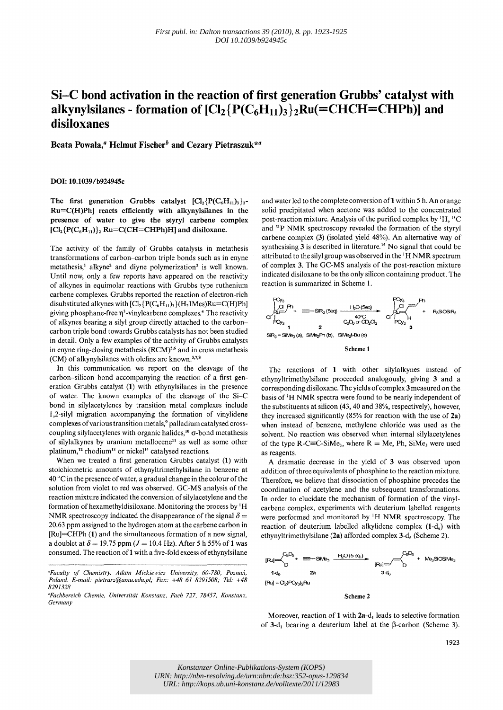# Si-C **bond activation in the reaction of first generation Grubbs' catalyst with**  alkynylsilanes - formation of  $\left[Cl_2\right]\left\{P(C_6H_{11})_3\right\}_2$ Ru(=CHCH=CHPh)] and **disiloxanes**

Beata Powała.<sup> $a$ </sup> Helmut Fischer<sup>b</sup> and Cezary Pietraszuk\*<sup>a</sup>

## DOl: 10.1039/b924945c

The first generation Grubbs catalyst  ${[\text{Cl}_2{\{\text{P}(C_6H_{11})}_3\}}_{2^-}$ Ru=C(H)Ph] reacts efficiently with alkynylsilanes in the presence of water to give the styryl carbene complex  $\rm [Cl_2\{P(C_6H_{11})\}_2$  Ru=C(CH=CHPh)H] and disiloxane.

The activity of the family of Grubbs catalysts in metathesis transformations of carbon-carbon triple bonds such as in enyne metathesis,<sup>1</sup> alkyne<sup>2</sup> and diyne polymerization<sup>3</sup> is well known. Until now, only a few reports have appeared on the reactivity of alkynes in equimolar reactions with Grubbs type ruthenium carbene complexes. Grubbs reported the reaction of electron-rich disubstituted alkynes with  $\rm [Cl_2\{P(C_6H_1)\} \{H_2}IMes)Ru=C(H)Ph]$ giving phosphane-free  $\eta^3$ -vinylcarbene complexes.<sup>4</sup> The reactivity of alkynes bearing a silyl group directly attached to the carboncarbon triple bond towards Grubbs catalysts has not been studied in detail. Only a few examples of the activity of Grubbs catalysts in enyne ring-closing metathesis  $(RCM)^{5,6}$  and in cross metathesis (CM) of alkynylsilanes with olefins are known.<sup>5,7,8</sup>

In this communication we report on the cleavage of the carbon-silicon bond accompanying the reaction of a first generation Grubbs catalyst (1) with ethynylsilanes in the presence of water. The known examples of the cleavage of the Si-C bond in silylacetylenes by transition metal complexes include I,2-silyl migration accompanying the formation of vinylidene complexes of various transition metals,<sup>9</sup> palladium catalysed crosscoupling silylacetylenes with organic halides,<sup>10</sup>  $\sigma$ -bond metathesis of silylalkynes by uranium metallocene<sup>11</sup> as well as some other platinum,<sup>12</sup> rhodium<sup>13</sup> or nickel<sup>14</sup> catalysed reactions.

When we treated a first generation Grubbs catalyst (1) with stoichiometric amounts of ethynyltrimethylsilane in benzene at  $40^{\circ}$ C in the presence of water, a gradual change in the colour of the solution from violet to red was observed. GC-MS analysis of the reaction mixture indicated the conversion of silylacetylene and the formation of hexamethyldisiloxane. Monitoring the process by <sup>1</sup>H NMR spectroscopy indicated the disappearance of the signal  $\delta =$ 20.63 ppm assigned to the hydrogen atom at the carbene carbon in  $[Ru] = CHPh (1)$  and the simultaneous formation of a new signal, a doublet at  $\delta = 19.75$  ppm ( $J = 10.4$  Hz). After 5 h 55% of 1 was consumed. The reaction of 1 with a five-fold excess of ethynylsilane

*"Faculty of Chemistry, Adam Mickiewicz University, 60-780, Poznall, Poland E-mail: pietrasz@amu.edu.pl; Fax:* +48 61 *8291508; Tel: +48*  8291328

*bFachbereich Chemie, Universität Konstanz, Fach 727, 78457, Konstanz, Germany* 

and water led to the complete conversion of 1 within 5 h. An orange solid precipitated when acetone was added to the concentrated post-reaction mixture. Analysis of the purified complex by 'H, l3C and 3'p NMR spectroscopy revealed the formation of the styryl carbene complex (3) (isolated yield 48%). An alternative way of synthesising 3 is described in literature.<sup>15</sup> No signal that could be attributed to the silyl group was observed in the' H NMR spectrum of complex 3. The GC-MS analysis of the post-reaction mixture indicated disiloxane to be the only silicon containing product. The reaction is summarized in Scheme I.



The reactions of 1 with other silylalkynes instead of ethynyltrimethylsilane proceeded analogously, giving 3 and a corresponding disiloxane. The yields of complex 3 measured on the basis of' H NMR spectra were found to be nearly independent of the substituents at silicon (43, 40 and 38%, respectively), however, they increased significantly (85% for reaction with the use of 2a) when instead of benzene, methylene chloride was used as the solvent. No reaction was observed when internal silylacetylenes of the type  $R$ -C=C-SiMe<sub>3</sub>, where  $R = Me$ , Ph, SiMe<sub>3</sub> were used as reagents.

A dramatic decrease in the yield of 3 was observed upon addition of three equivalents of phosphine to the reaction mixture. Therefore, we believe that dissociation of phosphine precedes the coordination of acetylene and the subsequent transformations. In order to elucidate the mechanism of formation of the vinylcarbene complex, experiments with deuterium labelled reagents were performed and monitored by 'H NMR spectroscopy. The reaction of deuterium labelled alkylidene complex  $(1-d_6)$  with ethynyltrimethylsilane (2a) afforded complex  $3-d_6$  (Scheme 2).



Scheme 2

Moreover, reaction of 1 with 2a-d, leads to selective formation of 3-d, bearing a deuterium label at the  $\beta$ -carbon (Scheme 3).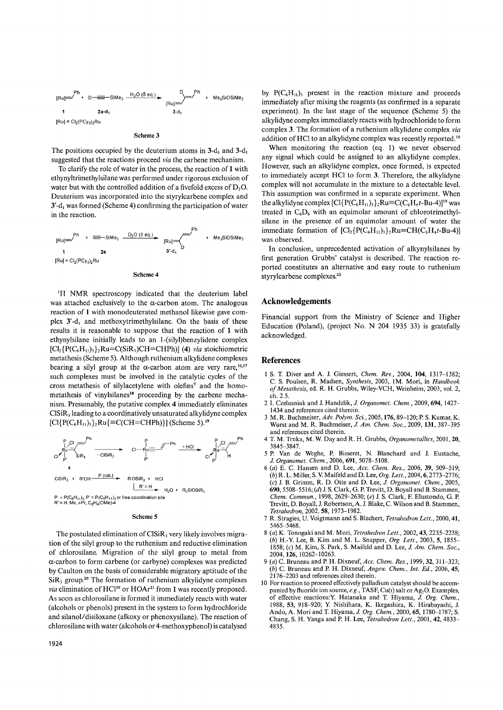

#### Scheme 3

The positions occupied by the deuterium atoms in  $3-d_6$  and  $3-d_1$ suggested that the reactions proceed *via* the carbene mechanism.

To clarify the role of water in the process, the reaction of 1 with ethynyltrimethylsilane was performed under rigorous exclusion of water but with the controlled addition of a fivefold excess of  $D_2O$ . Deuterium was incorporated into the styrylcarbene complex and  $3'$ -d<sub>1</sub> was formed (Scheme 4) confirming the participation of water in the reaction.



'H NMR spectroscopy indicated that the deuterium label was attached exclusively to the  $\alpha$ -carbon atom. The analogous reaction of 1 with monodeuterated methanol likewise gave complex  $3'$ -d<sub>1</sub> and methoxytrimethylsilane. On the basis of these results it is reasonable to suppose that the reaction of 1 with ethynylsilane initially leads to an l-(silyl)benzylidene complex  $[Cl_2\{P(C_6H_{11})_3\}_2$ Ru=C(SiR<sub>3</sub>)CH=CHPh)] (4) *via* stoichiometric metathesis (Scheme 5). Although ruthenium alkylidene complexes bearing a silyl group at the  $\alpha$ -carbon atom are very rare,<sup>16,17</sup> such complexes must be involved in the catalytic cycles of the cross metathesis of silylacetylene with olefins' and the homometathesis of vinylsilanes<sup>18</sup> proceeding by the carbene mechanism. Presumably, the putative complex 4 immediately eliminates CISiR<sub>3</sub> leading to a coordinatively unsaturated alkylidyne complex  $[C]{P(C<sub>6</sub>H<sub>11</sub>)<sub>3</sub>}}$  $Ru{equivC(CH=CHPh)}$  (Scheme 5).<sup>19</sup>



#### Scheme 5

The postulated elimination of  $CISiR<sub>3</sub>$  very likely involves migration of the silyl group to the ruthenium and reductive elimination of chlorosilane. Migration of the silyl group to metal from a-carbon to form carbene (or carbyne) complexes was predicted by Caulton on the basis of considerable migratory aptitude of the  $\text{SiR}_3$  group.<sup>20</sup> The formation of ruthenium alkylidyne complexes *via* elimination of HCl<sup>19</sup> or HOAr<sup>21</sup> from 1 was recently proposed. As soon as chlorosilane is formed it immediately reacts with water (alcohols or phenols) present in the system to form hydrochloride and silanol/disiloxane (alkoxy or phenoxysilane). The reaction of chlorosilane with water (alcohols or 4-methoxyphenol) is catalysed by  $P(C_6H_{11})_3$  present in the reaction mixture and proceeds immediately after mixing the reagents (as confirmed in a separate experiment). In the last stage of the sequence (Scheme 5) the alkylidyne complex immediately reacts with hydrochloride to form complex 3, The formation of a ruthenium alkylidene complex *via*  addition of HCl to an alkylidyne complex was recently reported.<sup>19</sup>

When monitoring the reaction (eq, 1) we never observed any signal which could be assigned to an alkylidyne complex, However, such an alkylidyne complex, once formed, is expected to immediately accept HCI to form 3, Therefore, the alkylidyne complex will not accumulate in the mixture to a detectable level. This assumption was confirmed in a separate experiment. When the alkylidyne complex  $\text{[Cl}\{\text{P}(C_6H_{11})_3\}_2\text{Ru}\equiv C(C_6H_4t-Bu-4)\text{]}^{19}$  was treated in  $C_6D_6$  with an equimolar amount of chlorotrimethylsilane in the presence of an equimolar amount of water the immediate formation of  $\left[\text{Cl}_{2}\right]\left[\text{P}(C_6H_{11})_3\right]_2$ Ru=CH(C<sub>6</sub>H<sub>4</sub>t-Bu-4)] was observed.

In conclusion, unprecedented activation of alkynylsilanes by first generation Grubbs' catalyst is described, The reaction reported constitutes an alternative and easy route to ruthenium styrylcarbene complexes.<sup>22</sup>

## Acknowledgements

Financial support from the Ministry of Science and Higher Education (Poland), (project No. N 204 1935 33) is gratefully acknowledged,

### References

- I S. T. Diver and A. 1. Giessert, *Chem. Rev.,* 2004, 104, 1317-1382; C. S. Poulsen, R, Madsen, *Synthesis,* 2003, I M. Mori, in *Handbook of Metathesis,* ed. R. H. Grubbs, Wiley-VCH, Weinheim, 2003, vol. 2, ch. 2.5.
- 21. Czelusniak and 1. Handzlik, 1 *Organomet. Chem.,* 2009, 694, 1427- 1434 and references cited therein.
- 3 M. R. Buchmeiser, *Adv. Polym. Sci.,* 2005,176,89-120; P. S. Kumar, K. Wurst and M. R. Buchmeiser, 1 *Am. Chem. Soc.,* 2009, 131, 387-395 and references cited therein.
- 4 T. M, Trnka, M. W. Day and R. H. Grubbs, *Organometallics,* 2001, 20, 3845-3847.
- 5 P. Van de Weghe, P. Bisseret, N. Blanchard and 1. Eustache, *J. Organomet. Chem., 2006, 691, 5078-5108.*
- *6 (a)* E. C. Hansen and D. Lee, *Ace. Chem. Res.,* 2006, 39, 509-519; *(b)* R. L. Miller, S. V. Maifeldand D. Lee, *Org. Left.,* 2004, 6, 2773-2776; *(c)* 1. B. Grimm, R. D. Otte and D. Lee, 1 *Organomet. Chem., 2005,*  690, 5508-5516; (d) 1. S. Clark, G. P. Trevitt, D. Boyall and B. Stammen, *Chem. Commull.,* 1998,2629-2630; *(e)* 1. S. Clark, F. Elustondo, G. P. Trevitt, D. Boyall, J. Robertson, A. 1. Blake, C. Wilson and B. Stammen, *Tetrahedron,* 2002, 58,1973-1982,
- 7 R. Stragies, U. Voigtmann and S. Blechert, *Tetrahedron Letl.,* 2000, 41, 5465-5468.
- *8 (a)* K. Tonogaki and M. Mori, *Tetrahedron Left.,* 2002, 43, 2235-2238; *(b)* H.-y' Lee, B. Kim and M. L. Snapper, *Org. Left.,* 2003,5, 1855- 1858; (c) M. Kim, S. Park, S. Maifeld and D. Lee, *J. Am. Chem. Soc.*, 2004, 126, 10262-10263.
- *9 (a)* C. Bruneau and P. H. Dixneuf, *Ace. Chem. Res.,* 1999,32,311-323; *(b)* C. Bruneau and P. H. Dixneuf, *Angew. Chem., lnt.* Ed., 2006,45, 2 I 76-2203 and references cited therein.
- 10 For reaction to proceed effectively palladium catalyst should be accompanied by fluoride ion source, *e.g.*, TASF, Cu(1) salt or Ag<sub>2</sub>O. Examples, of effective reactions:Y. Hatanaka and T. Hiyama, 1 *Org. Chem.,*  1988, 53, 918-920; Y. Nishihara, K. Ikegashira, K. Hirabayashi, 1. Ando, A. Mori and T. Hiyama, J. Org. Chem., 2000, 65, 1780-1787; S. Chang, S. H. Yanga and P. H. Lee, *Tetrahedron Left.,* 2001, 42, 4833- 4835,